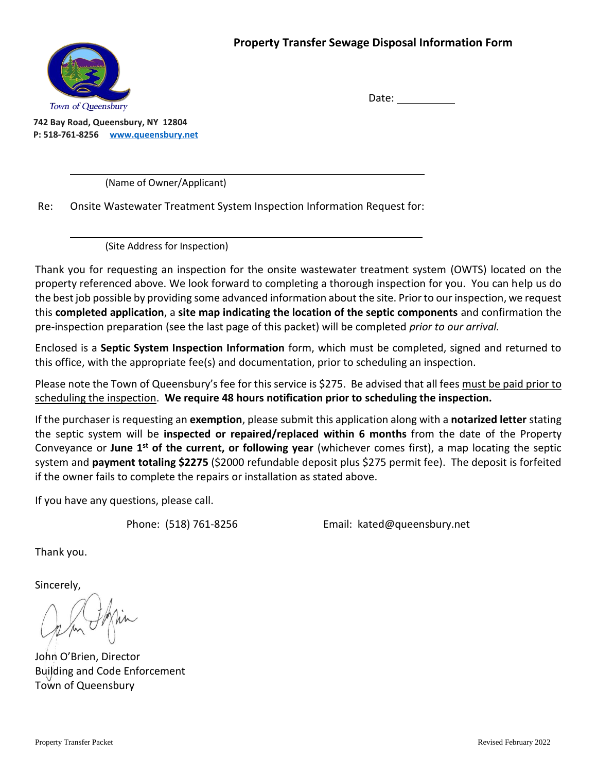

Date:

**742 Bay Road, Queensbury, NY 12804 P: 518-761-8256 www.queensbury.net**

(Name of Owner/Applicant)

Re: Onsite Wastewater Treatment System Inspection Information Request for:

(Site Address for Inspection)

Thank you for requesting an inspection for the onsite wastewater treatment system (OWTS) located on the property referenced above. We look forward to completing a thorough inspection for you. You can help us do the best job possible by providing some advanced information about the site. Prior to our inspection, we request this **completed application**, a **site map indicating the location of the septic components** and confirmation the pre-inspection preparation (see the last page of this packet) will be completed *prior to our arrival.*

Enclosed is a **Septic System Inspection Information** form, which must be completed, signed and returned to this office, with the appropriate fee(s) and documentation, prior to scheduling an inspection.

Please note the Town of Queensbury's fee for this service is \$275. Be advised that all fees must be paid prior to scheduling the inspection. **We require 48 hours notification prior to scheduling the inspection.**

If the purchaser is requesting an **exemption**, please submit this application along with a **notarized letter** stating the septic system will be **inspected or repaired/replaced within 6 months** from the date of the Property Conveyance or June 1<sup>st</sup> of the current, or following year (whichever comes first), a map locating the septic system and **payment totaling \$2275** (\$2000 refundable deposit plus \$275 permit fee). The deposit is forfeited if the owner fails to complete the repairs or installation as stated above.

If you have any questions, please call.

Phone: (518) 761-8256 Email: kated@queensbury.net

Thank you.

Sincerely,

John O'Brien, Director Building and Code Enforcement Town of Queensbury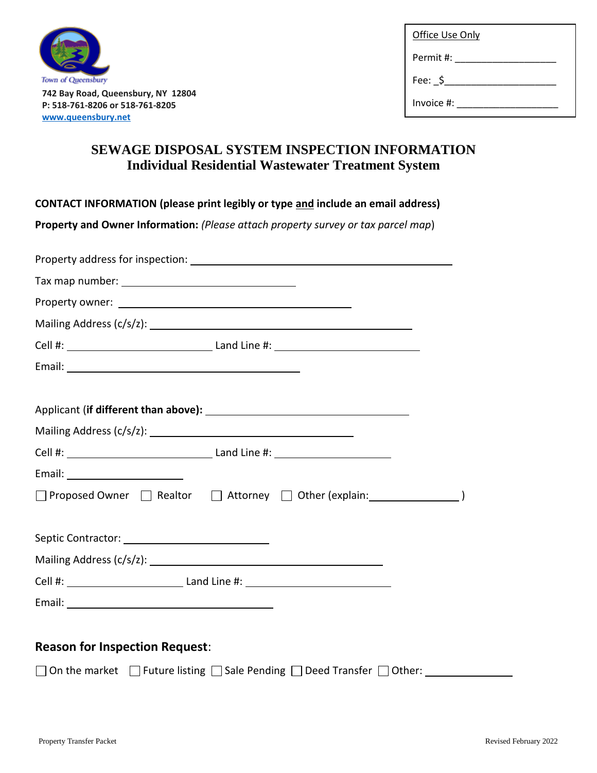

**742 Bay Road, Queensbury, NY 12804 P: 518-761-8206 or 518-761-8205 www.queensbury.net**

| Office Use Only |  |  |
|-----------------|--|--|
| Permit #:       |  |  |

Fee: \_\$\_\_\_\_\_\_\_\_\_\_\_\_\_\_\_\_\_\_\_\_\_\_\_\_\_\_\_

Invoice #:

## **SEWAGE DISPOSAL SYSTEM INSPECTION INFORMATION Individual Residential Wastewater Treatment System**

**CONTACT INFORMATION (please print legibly or type and include an email address)**

**Property and Owner Information:** *(Please attach property survey or tax parcel map*)

| □ Proposed Owner □ Realtor □ Attorney □ Other (explain: ________________________ |  |
|----------------------------------------------------------------------------------|--|
|                                                                                  |  |
|                                                                                  |  |
|                                                                                  |  |
|                                                                                  |  |
|                                                                                  |  |
|                                                                                  |  |

## **Reason for Inspection Request**:

 $\Box$  On the market  $\Box$  Future listing  $\Box$  Sale Pending  $\Box$  Deed Transfer  $\Box$  Other: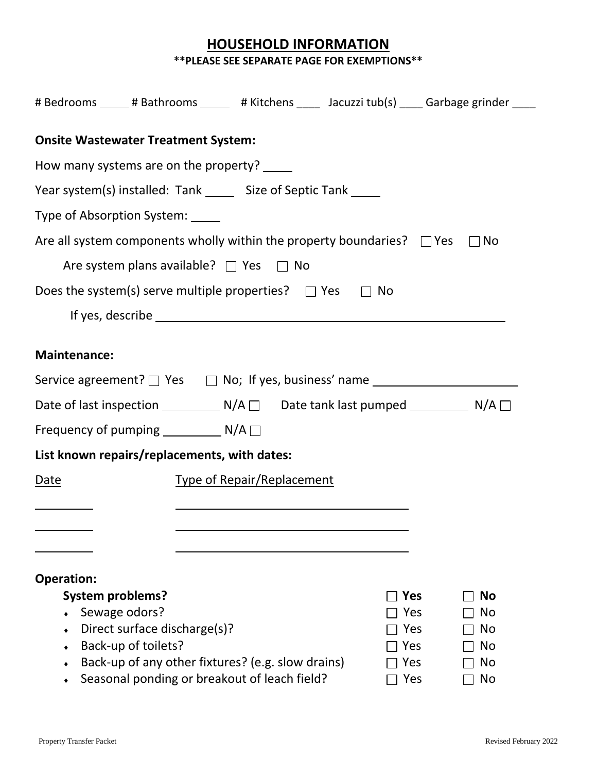#### **HOUSEHOLD INFORMATION \*\*PLEASE SEE SEPARATE PAGE FOR EXEMPTIONS\*\***

| # Bedrooms _____ # Bathrooms ______ # Kitchens _____ Jacuzzi tub(s) _____ Garbage grinder _____ |            |           |
|-------------------------------------------------------------------------------------------------|------------|-----------|
| <b>Onsite Wastewater Treatment System:</b>                                                      |            |           |
| How many systems are on the property? _____                                                     |            |           |
| Year system(s) installed: Tank ______ Size of Septic Tank _____                                 |            |           |
| Type of Absorption System: _____                                                                |            |           |
| Are all system components wholly within the property boundaries? $\Box$ Yes                     |            | $\Box$ No |
| Are system plans available? $\Box$ Yes $\Box$ No                                                |            |           |
| Does the system(s) serve multiple properties? $\Box$ Yes $\Box$ No                              |            |           |
|                                                                                                 |            |           |
| <b>Maintenance:</b>                                                                             |            |           |
|                                                                                                 |            |           |
| Date of last inspection ________________ N/A □______Date tank last pumped _______________ N/A □ |            |           |
| Frequency of pumping ______________ N/A □                                                       |            |           |
| List known repairs/replacements, with dates:                                                    |            |           |
| <b>Type of Repair/Replacement</b><br>Date                                                       |            |           |
|                                                                                                 |            |           |
|                                                                                                 |            |           |
|                                                                                                 |            |           |
| <b>Operation:</b>                                                                               |            |           |
| <b>System problems?</b>                                                                         | Yes        | <b>No</b> |
| Sewage odors?<br>Direct surface discharge(s)?                                                   | Yes<br>Yes | No<br>No  |
| Back-up of toilets?                                                                             | Yes        | <b>No</b> |
| Back-up of any other fixtures? (e.g. slow drains)                                               | Yes        | No        |
| Seasonal ponding or breakout of leach field?                                                    | Yes        | No        |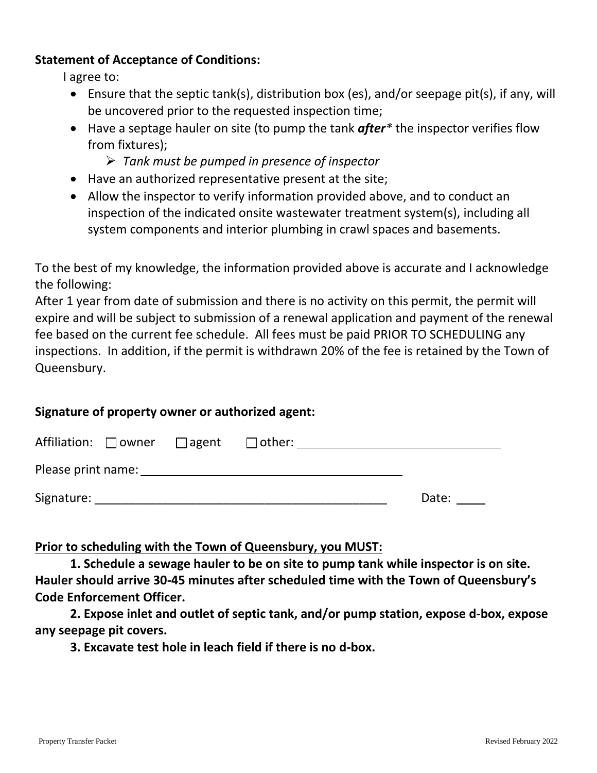#### **Statement of Acceptance of Conditions:**

I agree to:

- Ensure that the septic tank(s), distribution box (es), and/or seepage pit(s), if any, will be uncovered prior to the requested inspection time;
- Have a septage hauler on site (to pump the tank *after\** the inspector verifies flow from fixtures);
	- *Tank must be pumped in presence of inspector*
- Have an authorized representative present at the site;
- Allow the inspector to verify information provided above, and to conduct an inspection of the indicated onsite wastewater treatment system(s), including all system components and interior plumbing in crawl spaces and basements.

To the best of my knowledge, the information provided above is accurate and I acknowledge the following:

After 1 year from date of submission and there is no activity on this permit, the permit will expire and will be subject to submission of a renewal application and payment of the renewal fee based on the current fee schedule. All fees must be paid PRIOR TO SCHEDULING any inspections. In addition, if the permit is withdrawn 20% of the fee is retained by the Town of Queensbury.

#### **Signature of property owner or authorized agent:**

| Affiliation: $\Box$ owner $\Box$ agent | $\Box$ other: |       |
|----------------------------------------|---------------|-------|
| Please print name:                     |               |       |
| Signature:                             |               | Date: |

**Prior to scheduling with the Town of Queensbury, you MUST:**

**1. Schedule a sewage hauler to be on site to pump tank while inspector is on site. Hauler should arrive 30-45 minutes after scheduled time with the Town of Queensbury's Code Enforcement Officer.** 

**2. Expose inlet and outlet of septic tank, and/or pump station, expose d-box, expose any seepage pit covers.**

**3. Excavate test hole in leach field if there is no d-box.**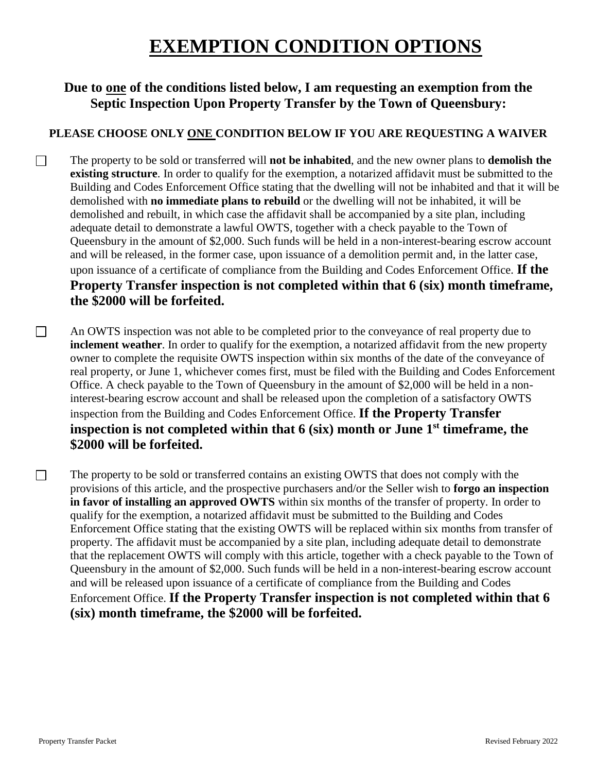## **EXEMPTION CONDITION OPTIONS**

#### **Due to one of the conditions listed below, I am requesting an exemption from the Septic Inspection Upon Property Transfer by the Town of Queensbury:**

#### **PLEASE CHOOSE ONLY ONE CONDITION BELOW IF YOU ARE REQUESTING A WAIVER**

 $\Box$ The property to be sold or transferred will **not be inhabited**, and the new owner plans to **demolish the existing structure**. In order to qualify for the exemption, a notarized affidavit must be submitted to the Building and Codes Enforcement Office stating that the dwelling will not be inhabited and that it will be demolished with **no immediate plans to rebuild** or the dwelling will not be inhabited, it will be demolished and rebuilt, in which case the affidavit shall be accompanied by a site plan, including adequate detail to demonstrate a lawful OWTS, together with a check payable to the Town of Queensbury in the amount of \$2,000. Such funds will be held in a non-interest-bearing escrow account and will be released, in the former case, upon issuance of a demolition permit and, in the latter case, upon issuance of a certificate of compliance from the Building and Codes Enforcement Office. **If the Property Transfer inspection is not completed within that 6 (six) month timeframe, the \$2000 will be forfeited.**

 $\Box$ An OWTS inspection was not able to be completed prior to the conveyance of real property due to **inclement weather**. In order to qualify for the exemption, a notarized affidavit from the new property owner to complete the requisite OWTS inspection within six months of the date of the conveyance of real property, or June 1, whichever comes first, must be filed with the Building and Codes Enforcement Office. A check payable to the Town of Queensbury in the amount of \$2,000 will be held in a noninterest-bearing escrow account and shall be released upon the completion of a satisfactory OWTS inspection from the Building and Codes Enforcement Office. **If the Property Transfer inspection is not completed within that 6 (six) month or June 1st timeframe, the \$2000 will be forfeited.**

The property to be sold or transferred contains an existing OWTS that does not comply with the provisions of this article, and the prospective purchasers and/or the Seller wish to **forgo an inspection in favor of installing an approved OWTS** within six months of the transfer of property. In order to qualify for the exemption, a notarized affidavit must be submitted to the Building and Codes Enforcement Office stating that the existing OWTS will be replaced within six months from transfer of property. The affidavit must be accompanied by a site plan, including adequate detail to demonstrate that the replacement OWTS will comply with this article, together with a check payable to the Town of Queensbury in the amount of \$2,000. Such funds will be held in a non-interest-bearing escrow account and will be released upon issuance of a certificate of compliance from the Building and Codes Enforcement Office. **If the Property Transfer inspection is not completed within that 6 (six) month timeframe, the \$2000 will be forfeited.**

 $\Box$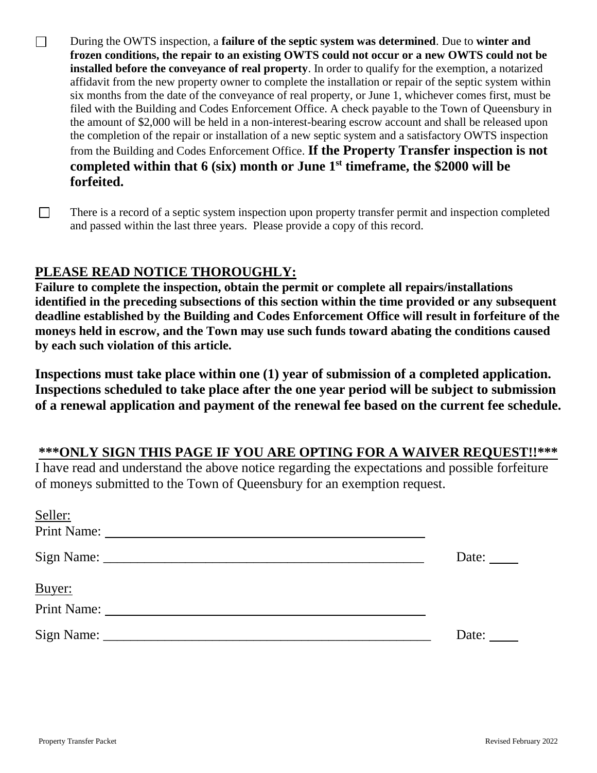- $\Box$ During the OWTS inspection, a **failure of the septic system was determined**. Due to **winter and frozen conditions, the repair to an existing OWTS could not occur or a new OWTS could not be installed before the conveyance of real property**. In order to qualify for the exemption, a notarized affidavit from the new property owner to complete the installation or repair of the septic system within six months from the date of the conveyance of real property, or June 1, whichever comes first, must be filed with the Building and Codes Enforcement Office. A check payable to the Town of Queensbury in the amount of \$2,000 will be held in a non-interest-bearing escrow account and shall be released upon the completion of the repair or installation of a new septic system and a satisfactory OWTS inspection from the Building and Codes Enforcement Office. **If the Property Transfer inspection is not completed within that 6 (six) month or June 1st timeframe, the \$2000 will be forfeited.**
- $\Box$ There is a record of a septic system inspection upon property transfer permit and inspection completed and passed within the last three years. Please provide a copy of this record.

#### **PLEASE READ NOTICE THOROUGHLY:**

**Failure to complete the inspection, obtain the permit or complete all repairs/installations identified in the preceding subsections of this section within the time provided or any subsequent deadline established by the Building and Codes Enforcement Office will result in forfeiture of the moneys held in escrow, and the Town may use such funds toward abating the conditions caused by each such violation of this article.**

**Inspections must take place within one (1) year of submission of a completed application. Inspections scheduled to take place after the one year period will be subject to submission of a renewal application and payment of the renewal fee based on the current fee schedule.**

#### **\*\*\*ONLY SIGN THIS PAGE IF YOU ARE OPTING FOR A WAIVER REQUEST!!\*\*\***

I have read and understand the above notice regarding the expectations and possible forfeiture of moneys submitted to the Town of Queensbury for an exemption request.

| Seller:     |              |
|-------------|--------------|
| Print Name: |              |
|             | Date: $\_\_$ |
| Buyer:      |              |
|             |              |
|             | Date:        |